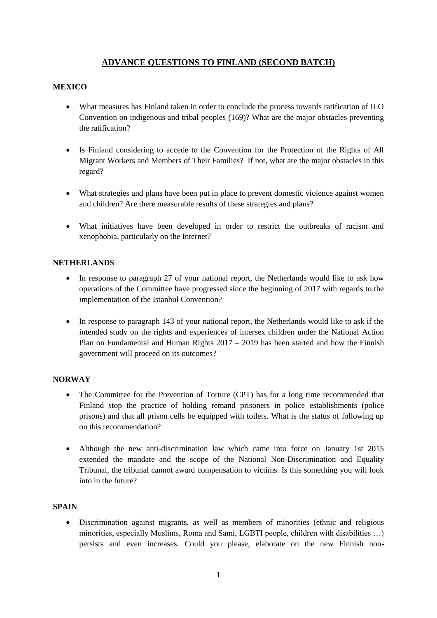# **ADVANCE QUESTIONS TO FINLAND (SECOND BATCH)**

# **MEXICO**

- What measures has Finland taken in order to conclude the process towards ratification of ILO Convention on indigenous and tribal peoples (169)? What are the major obstacles preventing the ratification?
- Is Finland considering to accede to the Convention for the Protection of the Rights of All Migrant Workers and Members of Their Families? If not, what are the major obstacles in this regard?
- What strategies and plans have been put in place to prevent domestic violence against women and children? Are there measurable results of these strategies and plans?
- What initiatives have been developed in order to restrict the outbreaks of racism and xenophobia, particularly on the Internet?

#### **NETHERLANDS**

- In response to paragraph 27 of your national report, the Netherlands would like to ask how operations of the Committee have progressed since the beginning of 2017 with regards to the implementation of the Istanbul Convention?
- In response to paragraph 143 of your national report, the Netherlands would like to ask if the intended study on the rights and experiences of intersex children under the National Action Plan on Fundamental and Human Rights  $2017 - 2019$  has been started and how the Finnish government will proceed on its outcomes?

## **NORWAY**

- The Committee for the Prevention of Torture (CPT) has for a long time recommended that Finland stop the practice of holding remand prisoners in police establishments (police prisons) and that all prison cells be equipped with toilets. What is the status of following up on this recommendation?
- Although the new anti-discrimination law which came into force on January 1st 2015 extended the mandate and the scope of the National Non-Discrimination and Equality Tribunal, the tribunal cannot award compensation to victims. Is this something you will look into in the future?

## **SPAIN**

 Discrimination against migrants, as well as members of minorities (ethnic and religious minorities, especially Muslims, Roma and Sami, LGBTI people, children with disabilities …) persists and even increases. Could you please, elaborate on the new Finnish non